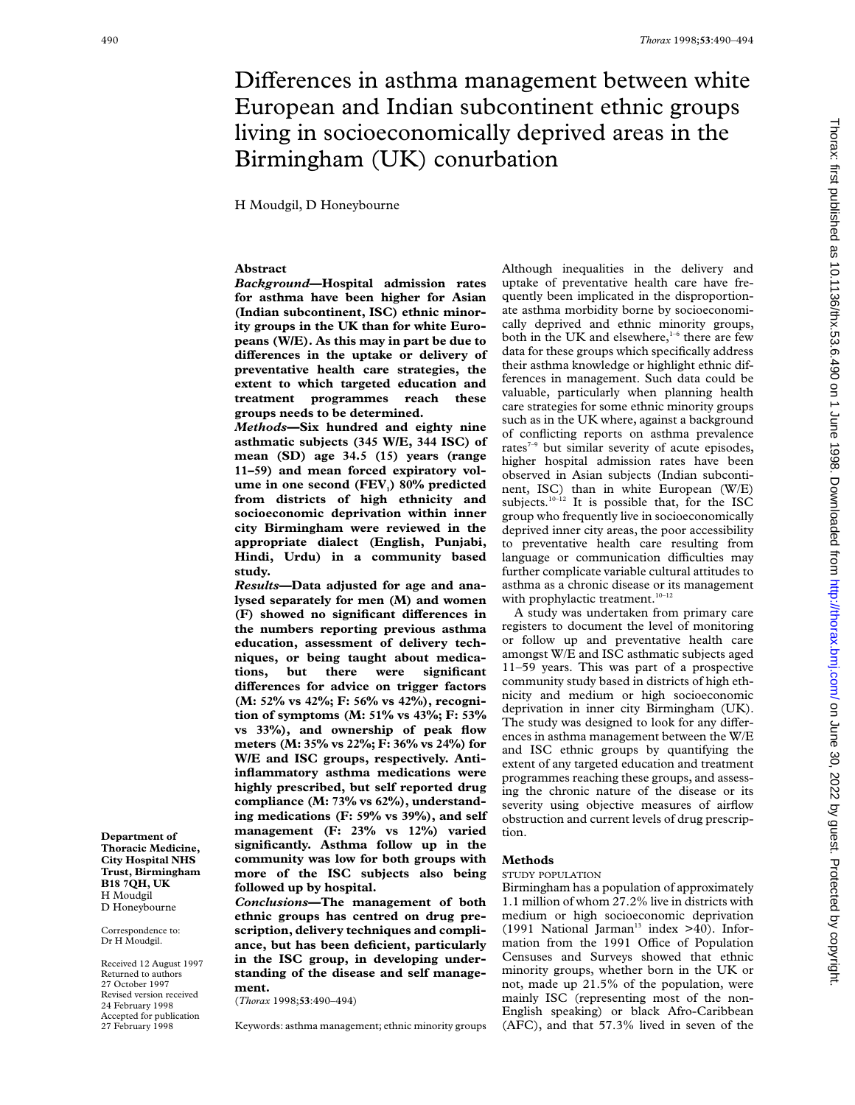# Differences in asthma management between white European and Indian subcontinent ethnic groups living in socioeconomically deprived areas in the Birmingham (UK) conurbation

H Moudgil, D Honeybourne

## **Abstract**

*Background***—Hospital admission rates for asthma have been higher for Asian (Indian subcontinent, ISC) ethnic minority groups in the UK than for white Europeans (W/E). As this may in part be due to** differences in the uptake or delivery of **preventative health care strategies, the extent to which targeted education and treatment programmes reach these groups needs to be determined.**

*Methods***—Six hundred and eighty nine asthmatic subjects (345 W/E, 344 ISC) of mean (SD) age 34.5 (15) years (range 11–59) and mean forced expiratory vol**ume in one second (FEV<sub>1</sub>) 80% predicted **from districts of high ethnicity and socioeconomic deprivation within inner city Birmingham were reviewed in the appropriate dialect (English, Punjabi, Hindi, Urdu) in a community based study.**

*Results***—Data adjusted for age and analysed separately for men (M) and women** (F) showed no significant differences in **the numbers reporting previous asthma education, assessment of delivery techniques, or being taught about medications, but there were significant diVerences for advice on trigger factors (M: 52% vs 42%; F: 56% vs 42%), recognition of symptoms (M: 51% vs 43%; F: 53% vs 33%), and ownership of peak flow meters (M: 35% vs 22%; F: 36% vs 24%) for W/E and ISC groups, respectively. Antiinflammatory asthma medications were highly prescribed, but self reported drug compliance (M: 73% vs 62%), understanding medications (F: 59% vs 39%), and self management (F: 23% vs 12%) varied significantly. Asthma follow up in the community was low for both groups with more of the ISC subjects also being followed up by hospital.**

*Conclusions***—The management of both ethnic groups has centred on drug prescription, delivery techniques and compliance, but has been deficient, particularly in the ISC group, in developing understanding of the disease and self management.**

(*Thorax* 1998;**53**:490–494)

Keywords: asthma management; ethnic minority groups

Although inequalities in the delivery and uptake of preventative health care have frequently been implicated in the disproportionate asthma morbidity borne by socioeconomically deprived and ethnic minority groups, both in the UK and elsewhere,<sup>1-6</sup> there are few data for these groups which specifically address their asthma knowledge or highlight ethnic differences in management. Such data could be valuable, particularly when planning health care strategies for some ethnic minority groups such as in the UK where, against a background of conflicting reports on asthma prevalence rates<sup> $7-9$ </sup> but similar severity of acute episodes, higher hospital admission rates have been observed in Asian subjects (Indian subcontinent, ISC) than in white European (W/E) subjects.<sup>10-12</sup> It is possible that, for the ISC group who frequently live in socioeconomically deprived inner city areas, the poor accessibility to preventative health care resulting from language or communication difficulties may further complicate variable cultural attitudes to asthma as a chronic disease or its management with prophylactic treatment.<sup>10-12</sup>

A study was undertaken from primary care registers to document the level of monitoring or follow up and preventative health care amongst W/E and ISC asthmatic subjects aged 11–59 years. This was part of a prospective community study based in districts of high ethnicity and medium or high socioeconomic deprivation in inner city Birmingham (UK). The study was designed to look for any differences in asthma management between the W/E and ISC ethnic groups by quantifying the extent of any targeted education and treatment programmes reaching these groups, and assessing the chronic nature of the disease or its severity using objective measures of airflow obstruction and current levels of drug prescription.

#### **Methods**

#### STUDY POPULATION

Birmingham has a population of approximately 1.1 million of whom 27.2% live in districts with medium or high socioeconomic deprivation (1991 National Jarman<sup>13</sup> index  $>40$ ). Information from the 1991 Office of Population Censuses and Surveys showed that ethnic minority groups, whether born in the UK or not, made up 21.5% of the population, were mainly ISC (representing most of the non-English speaking) or black Afro-Caribbean (AFC), and that 57.3% lived in seven of the

Thorax: first published as 10.1136/th. 2022 by guest. Protected as 10.12.012.012. The 2022 by guest. Protected by copyright. Protected by copyright. Protected by copyright.

**Thoracic Medicine, City Hospital NHS Trust, Birmingham B18 7QH, UK** H Moudgil D Honeybourne

**Department of**

Correspondence to: Dr H Moudgil.

Received 12 August 1997 Returned to authors 27 October 1997 Revised version received 24 February 1998 Accepted for publication 27 February 1998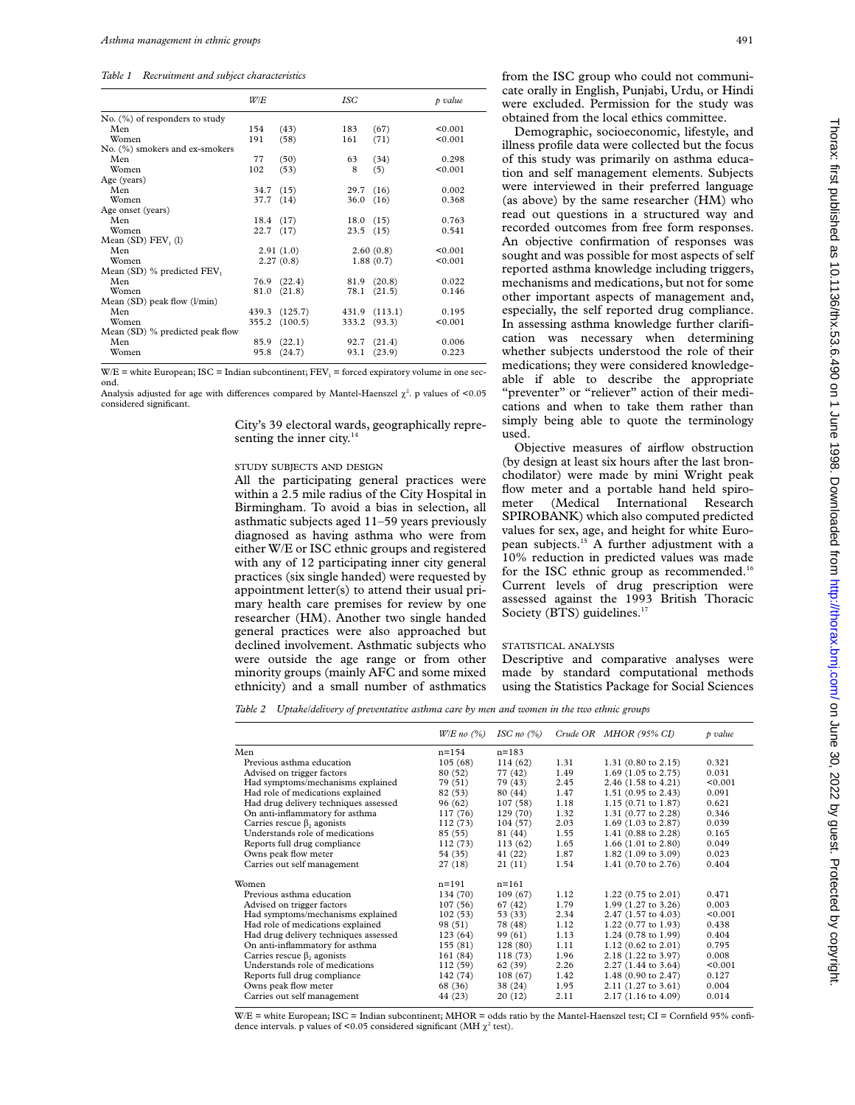*Table 1 Recruitment and subject characteristics*

|                                  | W/E           |               | ISC          |               | p value |
|----------------------------------|---------------|---------------|--------------|---------------|---------|
| $No.$ (%) of responders to study |               |               |              |               |         |
| Men                              | 154           | (43)          | 183          | (67)          | < 0.001 |
| Women                            | 191           | (58)          | 161          | (71)          | < 0.001 |
| No. (%) smokers and ex-smokers   |               |               |              |               |         |
| Men                              | 77            | (50)          | 63           | (34)          | 0.298   |
| Women                            | 102           | (53)          | 8            | (5)           | < 0.001 |
| Age (years)                      |               |               |              |               |         |
| Men                              | 34.7 (15)     |               | 29.7(16)     |               | 0.002   |
| Women                            | 37.7          | (14)          | 36.0         | (16)          | 0.368   |
| Age onset (years)                |               |               |              |               |         |
| Men                              | 18.4 (17)     |               | 18.0(15)     |               | 0.763   |
| Women                            | $22.7$ $(17)$ |               | $23.5$ (15)  |               | 0.541   |
| Mean $(SD)$ FEV, $(l)$           |               |               |              |               |         |
| Men                              |               | 2.91(1.0)     |              | 2.60(0.8)     | < 0.001 |
| Women                            |               | 2.27(0.8)     |              | 1.88(0.7)     | < 0.001 |
| Mean (SD) % predicted FEV,       |               |               |              |               |         |
| Men                              |               | 76.9 (22.4)   |              | 81.9 (20.8)   | 0.022   |
| Women                            | 81.0          | (21.8)        |              | 78.1 (21.5)   | 0.146   |
| Mean $(SD)$ peak flow $(l/min)$  |               |               |              |               |         |
| Men                              |               | 439.3 (125.7) |              | 431.9 (113.1) | 0.195   |
| Women                            |               | 355.2 (100.5) | 333.2 (93.3) |               | < 0.001 |
| Mean (SD) % predicted peak flow  |               |               |              |               |         |
| Men                              | 85.9          | (22.1)        | 92.7         | (21.4)        | 0.006   |
| Women                            | 95.8          | (24.7)        | 93.1         | (23.9)        | 0.223   |

 $W/E =$  white European; ISC = Indian subcontinent; FEV<sub>1</sub> = forced expiratory volume in one second.

Analysis adjusted for age with differences compared by Mantel-Haenszel  $\chi^2$ . p values of <0.05 considered significant.

> City's 39 electoral wards, geographically representing the inner city.<sup>14</sup>

## STUDY SUBJECTS AND DESIGN

All the participating general practices were within a 2.5 mile radius of the City Hospital in Birmingham. To avoid a bias in selection, all asthmatic subjects aged 11–59 years previously diagnosed as having asthma who were from either W/E or ISC ethnic groups and registered with any of 12 participating inner city general practices (six single handed) were requested by appointment letter(s) to attend their usual primary health care premises for review by one researcher (HM). Another two single handed general practices were also approached but declined involvement. Asthmatic subjects who were outside the age range or from other minority groups (mainly AFC and some mixed ethnicity) and a small number of asthmatics

from the ISC group who could not communicate orally in English, Punjabi, Urdu, or Hindi were excluded. Permission for the study was obtained from the local ethics committee.

Demographic, socioeconomic, lifestyle, and illness profile data were collected but the focus of this study was primarily on asthma education and self management elements. Subjects were interviewed in their preferred language (as above) by the same researcher (HM) who read out questions in a structured way and recorded outcomes from free form responses. An objective confirmation of responses was sought and was possible for most aspects of self reported asthma knowledge including triggers, mechanisms and medications, but not for some other important aspects of management and, especially, the self reported drug compliance. In assessing asthma knowledge further clarification was necessary when determining whether subjects understood the role of their medications; they were considered knowledgeable if able to describe the appropriate "preventer" or "reliever" action of their medications and when to take them rather than simply being able to quote the terminology used.

Objective measures of airflow obstruction (by design at least six hours after the last bronchodilator) were made by mini Wright peak flow meter and a portable hand held spirometer (Medical International Research SPIROBANK) which also computed predicted values for sex, age, and height for white European subjects.15 A further adjustment with a 10% reduction in predicted values was made for the ISC ethnic group as recommended.<sup>16</sup> Current levels of drug prescription were assessed against the 1993 British Thoracic Society (BTS) guidelines.<sup>17</sup>

### STATISTICAL ANALYSIS

Descriptive and comparative analyses were made by standard computational methods using the Statistics Package for Social Sciences

*Table 2 Uptake/delivery of preventative asthma care by men and women in the two ethnic groups*

|                                       | $W/E$ no $(\%)$ | ISC no $(\%)$ |      | Crude OR MHOR (95% CI)         | p value |
|---------------------------------------|-----------------|---------------|------|--------------------------------|---------|
| Men                                   | $n = 154$       | $n = 183$     |      |                                |         |
| Previous asthma education             | 105(68)         | 114 (62)      | 1.31 | $1.31$ (0.80 to 2.15)          | 0.321   |
| Advised on trigger factors            | 80 (52)         | 77 (42)       | 1.49 | $1.69$ (1.05 to 2.75)          | 0.031   |
| Had symptoms/mechanisms explained     | 79 (51)         | 79 (43)       | 2.45 | 2.46 (1.58 to 4.21)            | < 0.001 |
| Had role of medications explained     | 82 (53)         | 80 (44)       | 1.47 | 1.51 (0.95 to 2.43)            | 0.091   |
| Had drug delivery techniques assessed | 96 (62)         | 107(58)       | 1.18 | $1.15(0.71 \text{ to } 1.87)$  | 0.621   |
| On anti-inflammatory for asthma       | 117(76)         | 129 (70)      | 1.32 | 1.31 (0.77 to 2.28)            | 0.346   |
| Carries rescue $\beta_2$ agonists     | 112 (73)        | 104(57)       | 2.03 | 1.69 (1.03 to 2.87)            | 0.039   |
| Understands role of medications       | 85 (55)         | 81 (44)       | 1.55 | 1.41 (0.88 to 2.28)            | 0.165   |
| Reports full drug compliance          | 112(73)         | 113(62)       | 1.65 | 1.66 $(1.01 \text{ to } 2.80)$ | 0.049   |
| Owns peak flow meter                  | 54 (35)         | 41 (22)       | 1.87 | 1.82 (1.09 to 3.09)            | 0.023   |
| Carries out self management           | 27 (18)         | 21(11)        | 1.54 | 1.41 (0.70 to 2.76)            | 0.404   |
| Women                                 | $n = 191$       | $n = 161$     |      |                                |         |
| Previous asthma education             | 134 (70)        | 109(67)       | 1.12 | 1.22 $(0.75 \text{ to } 2.01)$ | 0.471   |
| Advised on trigger factors            | 107(56)         | 67 (42)       | 1.79 | 1.99 (1.27 to 3.26)            | 0.003   |
| Had symptoms/mechanisms explained     | 102(53)         | 53 (33)       | 2.34 | 2.47 (1.57 to 4.03)            | < 0.001 |
| Had role of medications explained     | 98 (51)         | 78 (48)       | 1.12 | 1.22 (0.77 to 1.93)            | 0.438   |
| Had drug delivery techniques assessed | 123(64)         | 99 (61)       | 1.13 | 1.24 (0.78 to 1.99)            | 0.404   |
| On anti-inflammatory for asthma       | 155(81)         | 128(80)       | 1.11 | $1.12$ (0.62 to 2.01)          | 0.795   |
| Carries rescue $\beta$ , agonists     | 161 (84)        | 118(73)       | 1.96 | 2.18 (1.22 to 3.97)            | 0.008   |
| Understands role of medications       | 112 (59)        | 62 (39)       | 2.26 | 2.27 (1.44 to 3.64)            | < 0.001 |
| Reports full drug compliance          | 142 (74)        | 108(67)       | 1.42 | 1.48 (0.90 to 2.47)            | 0.127   |
| Owns peak flow meter                  | 68 (36)         | 38 (24)       | 1.95 | 2.11 (1.27 to 3.61)            | 0.004   |
| Carries out self management           | 44 (23)         | 20(12)        | 2.11 | 2.17 (1.16 to 4.09)            | 0.014   |

 $W/E =$  white European; ISC = Indian subcontinent; MHOR = odds ratio by the Mantel-Haenszel test; CI = Cornfield 95% confidence intervals. p values of <0.05 considered significant (MH  $\chi^2$  test).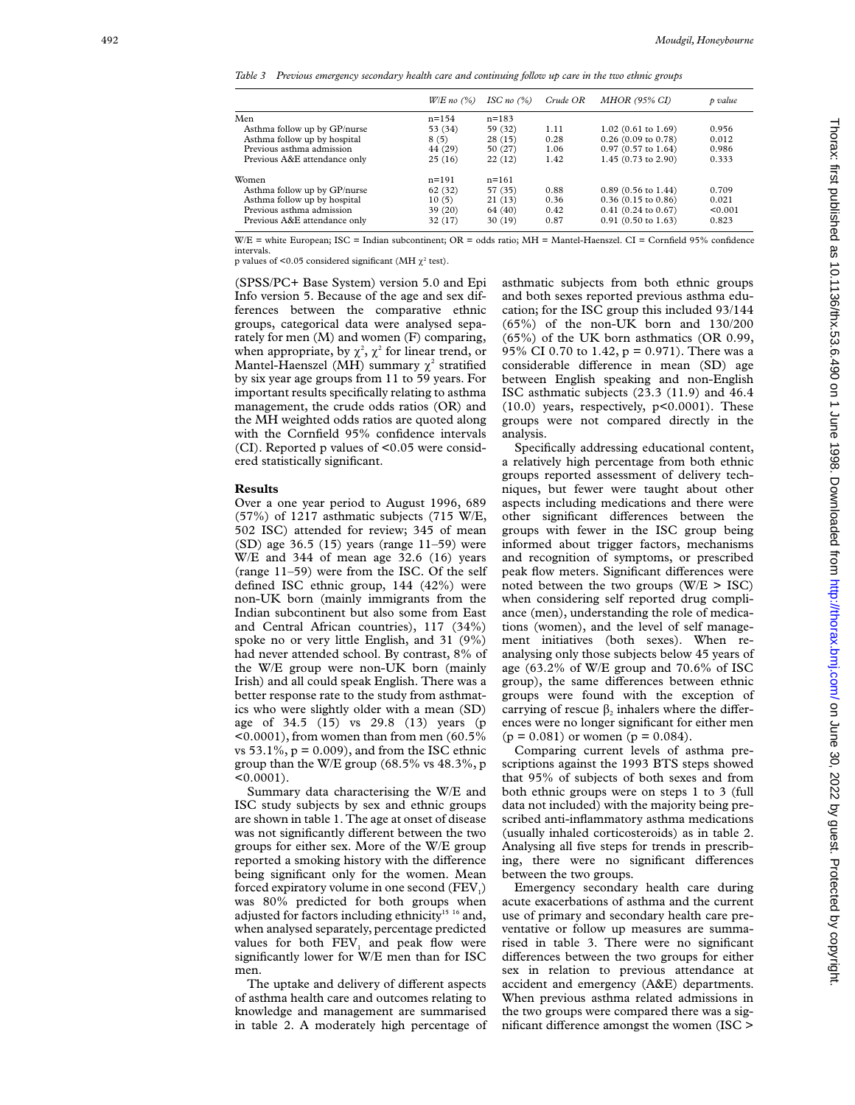*Table 3 Previous emergency secondary health care and continuing follow up care in the two ethnic groups*

|                              | $W/E$ no $(\%)$ | ISC no $(%)$ | Crude OR | <i>MHOR (95% CI)</i>     | p value |
|------------------------------|-----------------|--------------|----------|--------------------------|---------|
| Men                          | $n = 154$       | $n = 183$    |          |                          |         |
| Asthma follow up by GP/nurse | 53 (34)         | 59 (32)      | 1.11     | $1.02$ (0.61 to 1.69)    | 0.956   |
| Asthma follow up by hospital | 8(5)            | 28(15)       | 0.28     | $0.26(0.09)$ to $0.78$ ) | 0.012   |
| Previous asthma admission    | 44 (29)         | 50 (27)      | 1.06     | $0.97$ (0.57 to 1.64)    | 0.986   |
| Previous A&E attendance only | 25(16)          | 22(12)       | 1.42     | 1.45 (0.73 to 2.90)      | 0.333   |
| Women                        | $n = 191$       | $n = 161$    |          |                          |         |
| Asthma follow up by GP/nurse | 62 (32)         | 57 (35)      | 0.88     | $0.89$ (0.56 to 1.44)    | 0.709   |
| Asthma follow up by hospital | 10(5)           | 21(13)       | 0.36     | $0.36$ (0.15 to 0.86)    | 0.021   |
| Previous asthma admission    | 39(20)          | 64 (40)      | 0.42     | $0.41$ (0.24 to 0.67)    | < 0.001 |
| Previous A&E attendance only | 32 (17)         | 30(19)       | 0.87     | $0.91$ (0.50 to 1.63)    | 0.823   |

W/E = white European; ISC = Indian subcontinent; OR = odds ratio; MH = Mantel-Haenszel. CI = Cornfield 95% confidence intervals.

p values of <0.05 considered significant (MH $\chi^2$  test).

(SPSS/PC+ Base System) version 5.0 and Epi Info version 5. Because of the age and sex differences between the comparative ethnic groups, categorical data were analysed separately for men (M) and women (F) comparing, when appropriate, by  $\chi^2$ ,  $\chi^2$  for linear trend, or Mantel-Haenszel (MH) summary  $\chi^2$  stratified by six year age groups from 11 to 59 years. For important results specifically relating to asthma management, the crude odds ratios (OR) and the MH weighted odds ratios are quoted along with the Cornfield 95% confidence intervals  $(CI)$ . Reported p values of  $\leq 0.05$  were considered statistically significant.

## **Results**

Over a one year period to August 1996, 689  $(57%)$  of 1217 asthmatic subjects  $(715 \text{ W/E},$ 502 ISC) attended for review; 345 of mean (SD) age 36.5 (15) years (range 11–59) were W/E and 344 of mean age 32.6 (16) years (range 11–59) were from the ISC. Of the self defined ISC ethnic group, 144 (42%) were non-UK born (mainly immigrants from the Indian subcontinent but also some from East and Central African countries), 117 (34%) spoke no or very little English, and 31 (9%) had never attended school. By contrast, 8% of the W/E group were non-UK born (mainly Irish) and all could speak English. There was a better response rate to the study from asthmatics who were slightly older with a mean (SD) age of 34.5 (15) vs 29.8 (13) years (p  $\leq 0.0001$ ), from women than from men (60.5%) vs  $53.1\%$ ,  $p = 0.009$ ), and from the ISC ethnic group than the W/E group (68.5% vs 48.3%, p  $< 0.0001$ ).

Summary data characterising the W/E and ISC study subjects by sex and ethnic groups are shown in table 1. The age at onset of disease was not significantly different between the two groups for either sex. More of the W/E group reported a smoking history with the difference being significant only for the women. Mean forced expiratory volume in one second (FEV<sub>1</sub>) was 80% predicted for both groups when adjusted for factors including ethnicity<sup>15</sup> <sup>16</sup> and, when analysed separately, percentage predicted values for both FEV <sup>1</sup> and peak flow were significantly lower for W/E men than for ISC men.

The uptake and delivery of different aspects of asthma health care and outcomes relating to knowledge and management are summarised in table 2. A moderately high percentage of asthmatic subjects from both ethnic groups and both sexes reported previous asthma education; for the ISC group this included 93/144 (65%) of the non-UK born and 130/200 (65%) of the UK born asthmatics (OR 0.99, 95% CI 0.70 to 1.42, p = 0.971). There was a considerable difference in mean (SD) age between English speaking and non-English ISC asthmatic subjects (23.3 (11.9) and 46.4 (10.0) years, respectively, p<0.0001). These groups were not compared directly in the analysis.

Specifically addressing educational content, a relatively high percentage from both ethnic groups reported assessment of delivery techniques, but fewer were taught about other aspects including medications and there were other significant differences between the groups with fewer in the ISC group being informed about trigger factors, mechanisms and recognition of symptoms, or prescribed peak flow meters. Significant differences were noted between the two groups  $(W/E > ISC)$ when considering self reported drug compliance (men), understanding the role of medications (women), and the level of self management initiatives (both sexes). When reanalysing only those subjects below 45 years of age (63.2% of W/E group and 70.6% of ISC group), the same differences between ethnic groups were found with the exception of carrying of rescue  $\beta_2$  inhalers where the differences were no longer significant for either men  $(p = 0.081)$  or women  $(p = 0.084)$ .

Comparing current levels of asthma prescriptions against the 1993 BTS steps showed that 95% of subjects of both sexes and from both ethnic groups were on steps 1 to 3 (full data not included) with the majority being prescribed anti-inflammatory asthma medications (usually inhaled corticosteroids) as in table 2. Analysing all five steps for trends in prescribing, there were no significant differences between the two groups.

Emergency secondary health care during acute exacerbations of asthma and the current use of primary and secondary health care preventative or follow up measures are summarised in table 3. There were no significant differences between the two groups for either sex in relation to previous attendance at accident and emergency (A&E) departments. When previous asthma related admissions in the two groups were compared there was a significant difference amongst the women (ISC >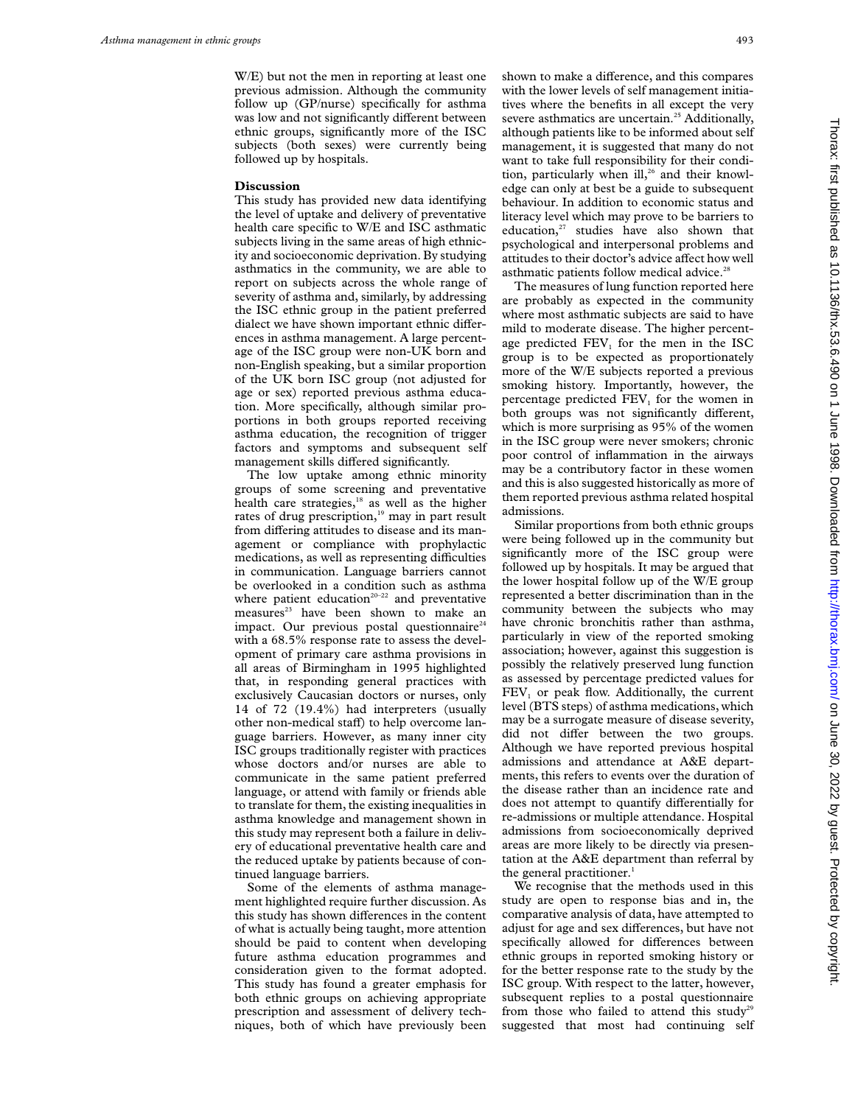W/E) but not the men in reporting at least one previous admission. Although the community follow up (GP/nurse) specifically for asthma was low and not significantly different between ethnic groups, significantly more of the ISC subjects (both sexes) were currently being followed up by hospitals.

#### **Discussion**

This study has provided new data identifying the level of uptake and delivery of preventative health care specific to W/E and ISC asthmatic subjects living in the same areas of high ethnicity and socioeconomic deprivation. By studying asthmatics in the community, we are able to report on subjects across the whole range of severity of asthma and, similarly, by addressing the ISC ethnic group in the patient preferred dialect we have shown important ethnic differences in asthma management. A large percentage of the ISC group were non-UK born and non-English speaking, but a similar proportion of the UK born ISC group (not adjusted for age or sex) reported previous asthma education. More specifically, although similar proportions in both groups reported receiving asthma education, the recognition of trigger factors and symptoms and subsequent self management skills differed significantly.

The low uptake among ethnic minority groups of some screening and preventative health care strategies,<sup>18</sup> as well as the higher rates of drug prescription,<sup>19</sup> may in part result from differing attitudes to disease and its management or compliance with prophylactic medications, as well as representing difficulties in communication. Language barriers cannot be overlooked in a condition such as asthma where patient education<sup>20-22</sup> and preventative measures<sup>23</sup> have been shown to make an impact. Our previous postal questionnaire<sup>24</sup> with a 68.5% response rate to assess the development of primary care asthma provisions in all areas of Birmingham in 1995 highlighted that, in responding general practices with exclusively Caucasian doctors or nurses, only 14 of 72 (19.4%) had interpreters (usually other non-medical staff) to help overcome language barriers. However, as many inner city ISC groups traditionally register with practices whose doctors and/or nurses are able to communicate in the same patient preferred language, or attend with family or friends able to translate for them, the existing inequalities in asthma knowledge and management shown in this study may represent both a failure in delivery of educational preventative health care and the reduced uptake by patients because of continued language barriers.

Some of the elements of asthma management highlighted require further discussion. As this study has shown differences in the content of what is actually being taught, more attention should be paid to content when developing future asthma education programmes and consideration given to the format adopted. This study has found a greater emphasis for both ethnic groups on achieving appropriate prescription and assessment of delivery techniques, both of which have previously been shown to make a difference, and this compares with the lower levels of self management initiatives where the benefits in all except the very severe asthmatics are uncertain.<sup>25</sup> Additionally, although patients like to be informed about self management, it is suggested that many do not want to take full responsibility for their condition, particularly when ill,<sup>26</sup> and their knowledge can only at best be a guide to subsequent behaviour. In addition to economic status and literacy level which may prove to be barriers to education, $27$  studies have also shown that psychological and interpersonal problems and attitudes to their doctor's advice affect how well asthmatic patients follow medical advice.<sup>2</sup>

The measures of lung function reported here are probably as expected in the community where most asthmatic subjects are said to have mild to moderate disease. The higher percentage predicted  $FEV<sub>1</sub>$  for the men in the ISC group is to be expected as proportionately more of the W/E subjects reported a previous smoking history. Importantly, however, the percentage predicted FEV<sub>1</sub> for the women in both groups was not significantly different, which is more surprising as 95% of the women in the ISC group were never smokers; chronic poor control of inflammation in the airways may be a contributory factor in these women and this is also suggested historically as more of them reported previous asthma related hospital admissions.

Similar proportions from both ethnic groups were being followed up in the community but significantly more of the ISC group were followed up by hospitals. It may be argued that the lower hospital follow up of the W/E group represented a better discrimination than in the community between the subjects who may have chronic bronchitis rather than asthma, particularly in view of the reported smoking association; however, against this suggestion is possibly the relatively preserved lung function as assessed by percentage predicted values for FEV<sub>1</sub> or peak flow. Additionally, the current level (BTS steps) of asthma medications, which may be a surrogate measure of disease severity, did not differ between the two groups. Although we have reported previous hospital admissions and attendance at A&E departments, this refers to events over the duration of the disease rather than an incidence rate and does not attempt to quantify differentially for re-admissions or multiple attendance. Hospital admissions from socioeconomically deprived areas are more likely to be directly via presentation at the A&E department than referral by the general practitioner.<sup>1</sup>

We recognise that the methods used in this study are open to response bias and in, the comparative analysis of data, have attempted to adjust for age and sex differences, but have not specifically allowed for differences between ethnic groups in reported smoking history or for the better response rate to the study by the ISC group. With respect to the latter, however, subsequent replies to a postal questionnaire from those who failed to attend this study<sup>29</sup> suggested that most had continuing self